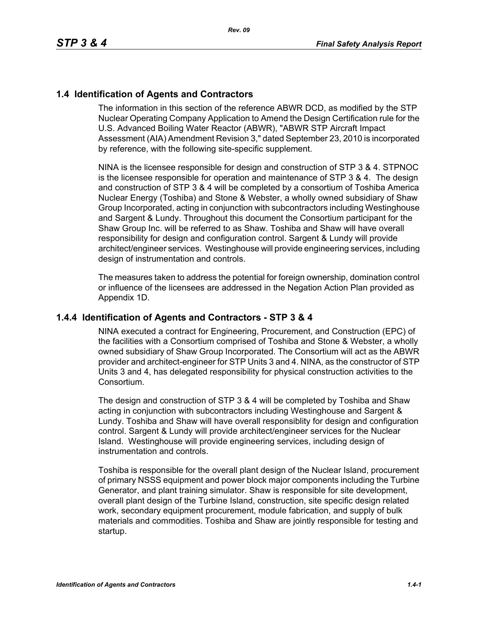# **1.4 Identification of Agents and Contractors**

The information in this section of the reference ABWR DCD, as modified by the STP Nuclear Operating Company Application to Amend the Design Certification rule for the U.S. Advanced Boiling Water Reactor (ABWR), "ABWR STP Aircraft Impact Assessment (AIA) Amendment Revision 3," dated September 23, 2010 is incorporated by reference, with the following site-specific supplement.

NINA is the licensee responsible for design and construction of STP 3 & 4. STPNOC is the licensee responsible for operation and maintenance of STP 3 & 4. The design and construction of STP 3 & 4 will be completed by a consortium of Toshiba America Nuclear Energy (Toshiba) and Stone & Webster, a wholly owned subsidiary of Shaw Group Incorporated, acting in conjunction with subcontractors including Westinghouse and Sargent & Lundy. Throughout this document the Consortium participant for the Shaw Group Inc. will be referred to as Shaw. Toshiba and Shaw will have overall responsibility for design and configuration control. Sargent & Lundy will provide architect/engineer services. Westinghouse will provide engineering services, including design of instrumentation and controls.

The measures taken to address the potential for foreign ownership, domination control or influence of the licensees are addressed in the Negation Action Plan provided as Appendix 1D.

## **1.4.4 Identification of Agents and Contractors - STP 3 & 4**

NINA executed a contract for Engineering, Procurement, and Construction (EPC) of the facilities with a Consortium comprised of Toshiba and Stone & Webster, a wholly owned subsidiary of Shaw Group Incorporated. The Consortium will act as the ABWR provider and architect-engineer for STP Units 3 and 4. NINA, as the constructor of STP Units 3 and 4, has delegated responsibility for physical construction activities to the Consortium.

The design and construction of STP 3 & 4 will be completed by Toshiba and Shaw acting in conjunction with subcontractors including Westinghouse and Sargent & Lundy. Toshiba and Shaw will have overall responsiblity for design and configuration control. Sargent & Lundy will provide architect/engineer services for the Nuclear Island. Westinghouse will provide engineering services, including design of instrumentation and controls.

Toshiba is responsible for the overall plant design of the Nuclear Island, procurement of primary NSSS equipment and power block major components including the Turbine Generator, and plant training simulator. Shaw is responsible for site development, overall plant design of the Turbine Island, construction, site specific design related work, secondary equipment procurement, module fabrication, and supply of bulk materials and commodities. Toshiba and Shaw are jointly responsible for testing and startup.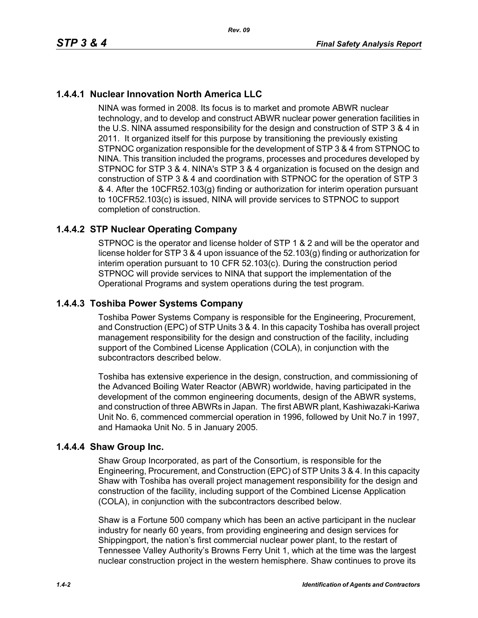# **1.4.4.1 Nuclear Innovation North America LLC**

NINA was formed in 2008. Its focus is to market and promote ABWR nuclear technology, and to develop and construct ABWR nuclear power generation facilities in the U.S. NINA assumed responsibility for the design and construction of STP 3 & 4 in 2011. It organized itself for this purpose by transitioning the previously existing STPNOC organization responsible for the development of STP 3 & 4 from STPNOC to NINA. This transition included the programs, processes and procedures developed by STPNOC for STP 3 & 4. NINA's STP 3 & 4 organization is focused on the design and construction of STP 3 & 4 and coordination with STPNOC for the operation of STP 3 & 4. After the 10CFR52.103(g) finding or authorization for interim operation pursuant to 10CFR52.103(c) is issued, NINA will provide services to STPNOC to support completion of construction.

# **1.4.4.2 STP Nuclear Operating Company**

STPNOC is the operator and license holder of STP 1 & 2 and will be the operator and license holder for STP 3 & 4 upon issuance of the 52.103(g) finding or authorization for interim operation pursuant to 10 CFR 52.103(c). During the construction period STPNOC will provide services to NINA that support the implementation of the Operational Programs and system operations during the test program.

# **1.4.4.3 Toshiba Power Systems Company**

Toshiba Power Systems Company is responsible for the Engineering, Procurement, and Construction (EPC) of STP Units 3 & 4. In this capacity Toshiba has overall project management responsibility for the design and construction of the facility, including support of the Combined License Application (COLA), in conjunction with the subcontractors described below.

Toshiba has extensive experience in the design, construction, and commissioning of the Advanced Boiling Water Reactor (ABWR) worldwide, having participated in the development of the common engineering documents, design of the ABWR systems, and construction of three ABWRs in Japan. The first ABWR plant, Kashiwazaki-Kariwa Unit No. 6, commenced commercial operation in 1996, followed by Unit No.7 in 1997, and Hamaoka Unit No. 5 in January 2005.

## **1.4.4.4 Shaw Group Inc.**

Shaw Group Incorporated, as part of the Consortium, is responsible for the Engineering, Procurement, and Construction (EPC) of STP Units 3 & 4. In this capacity Shaw with Toshiba has overall project management responsibility for the design and construction of the facility, including support of the Combined License Application (COLA), in conjunction with the subcontractors described below.

Shaw is a Fortune 500 company which has been an active participant in the nuclear industry for nearly 60 years, from providing engineering and design services for Shippingport, the nation's first commercial nuclear power plant, to the restart of Tennessee Valley Authority's Browns Ferry Unit 1, which at the time was the largest nuclear construction project in the western hemisphere. Shaw continues to prove its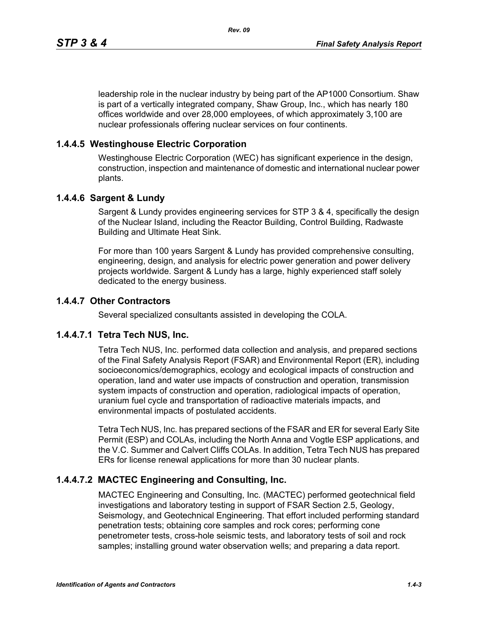leadership role in the nuclear industry by being part of the AP1000 Consortium. Shaw is part of a vertically integrated company, Shaw Group, Inc., which has nearly 180 offices worldwide and over 28,000 employees, of which approximately 3,100 are nuclear professionals offering nuclear services on four continents.

## **1.4.4.5 Westinghouse Electric Corporation**

Westinghouse Electric Corporation (WEC) has significant experience in the design, construction, inspection and maintenance of domestic and international nuclear power plants.

## **1.4.4.6 Sargent & Lundy**

Sargent & Lundy provides engineering services for STP 3 & 4, specifically the design of the Nuclear Island, including the Reactor Building, Control Building, Radwaste Building and Ultimate Heat Sink.

For more than 100 years Sargent & Lundy has provided comprehensive consulting, engineering, design, and analysis for electric power generation and power delivery projects worldwide. Sargent & Lundy has a large, highly experienced staff solely dedicated to the energy business.

## **1.4.4.7 Other Contractors**

Several specialized consultants assisted in developing the COLA.

## **1.4.4.7.1 Tetra Tech NUS, Inc.**

Tetra Tech NUS, Inc. performed data collection and analysis, and prepared sections of the Final Safety Analysis Report (FSAR) and Environmental Report (ER), including socioeconomics/demographics, ecology and ecological impacts of construction and operation, land and water use impacts of construction and operation, transmission system impacts of construction and operation, radiological impacts of operation, uranium fuel cycle and transportation of radioactive materials impacts, and environmental impacts of postulated accidents.

Tetra Tech NUS, Inc. has prepared sections of the FSAR and ER for several Early Site Permit (ESP) and COLAs, including the North Anna and Vogtle ESP applications, and the V.C. Summer and Calvert Cliffs COLAs. In addition, Tetra Tech NUS has prepared ERs for license renewal applications for more than 30 nuclear plants.

## **1.4.4.7.2 MACTEC Engineering and Consulting, Inc.**

MACTEC Engineering and Consulting, Inc. (MACTEC) performed geotechnical field investigations and laboratory testing in support of FSAR Section 2.5, Geology, Seismology, and Geotechnical Engineering. That effort included performing standard penetration tests; obtaining core samples and rock cores; performing cone penetrometer tests, cross-hole seismic tests, and laboratory tests of soil and rock samples; installing ground water observation wells; and preparing a data report.